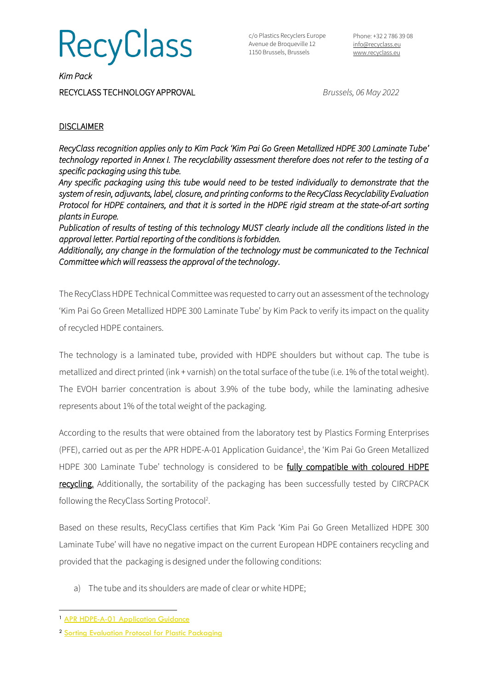**RecyClass** 

c/o Plastics Recyclers Europe Avenue de Broqueville 12 1150 Brussels, Brussels

Phone: +32 2 786 39 08 [info@recyclass.eu](mailto:info@recyclass.eu) [www.recyclass.eu](http://www.recyclass.eu/)

*Kim Pack*  RECYCLASS TECHNOLOGY APPROVAL *Brussels, 06 May 2022*

## **DISCLAIMER**

*RecyClass recognition applies only to Kim Pack 'Kim Pai Go Green Metallized HDPE 300 Laminate Tube' technology reported in Annex I. The recyclability assessment therefore does not refer to the testing of a specific packaging using this tube.* 

*Any specific packaging using this tube would need to be tested individually to demonstrate that the system of resin, adjuvants, label, closure, and printing conforms to the RecyClass Recyclability Evaluation Protocol for HDPE containers, and that it is sorted in the HDPE rigid stream at the state-of-art sorting plants in Europe.* 

*Publication of results of testing of this technology MUST clearly include all the conditions listed in the approval letter. Partial reporting of the conditions is forbidden.* 

*Additionally, any change in the formulation of the technology must be communicated to the Technical Committee which will reassess the approval of the technology*.

The RecyClass HDPE Technical Committee was requested to carry out an assessment of the technology 'Kim Pai Go Green Metallized HDPE 300 Laminate Tube' by Kim Pack to verify its impact on the quality of recycled HDPE containers.

The technology is a laminated tube, provided with HDPE shoulders but without cap. The tube is metallized and direct printed (ink + varnish) on the total surface of the tube (i.e. 1% of the total weight). The EVOH barrier concentration is about 3.9% of the tube body, while the laminating adhesive represents about 1% of the total weight of the packaging.

According to the results that were obtained from the laboratory test by Plastics Forming Enterprises (PFE), carried out as per the APR HDPE-A-01 Application Guidance<sup>1</sup>, the 'Kim Pai Go Green Metallized HDPE 300 Laminate Tube' technology is considered to be fully compatible with coloured HDPE recycling. Additionally, the sortability of the packaging has been successfully tested by CIRCPACK following the RecyClass Sorting Protocol<sup>2</sup>.

Based on these results, RecyClass certifies that Kim Pack 'Kim Pai Go Green Metallized HDPE 300 Laminate Tube' will have no negative impact on the current European HDPE containers recycling and provided that the packaging is designed under the following conditions:

a) The tube and its shoulders are made of clear or white HDPE;

<sup>&</sup>lt;sup>1</sup> [APR HDPE-A-01 Application Guidance](https://plasticsrecycling.org/hdpe-test-methods)

<sup>2</sup> Sorting Evaluation [Protocol for Plastic Packaging](https://recyclass.eu/recyclability/test-methods/)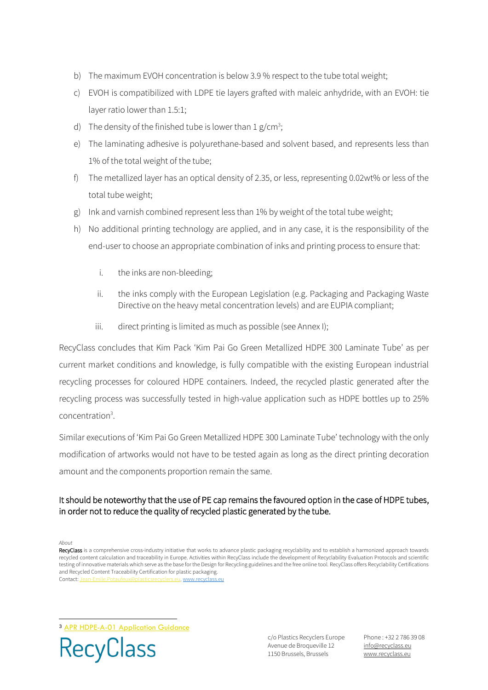- b) The maximum EVOH concentration is below 3.9 % respect to the tube total weight;
- c) EVOH is compatibilized with LDPE tie layers grafted with maleic anhydride, with an EVOH: tie layer ratio lower than 1.5:1;
- d) The density of the finished tube is lower than  $1 g/cm^3$ ;
- e) The laminating adhesive is polyurethane-based and solvent based, and represents less than 1% of the total weight of the tube;
- f) The metallized layer has an optical density of 2.35, or less, representing 0.02wt% or less of the total tube weight;
- g) Ink and varnish combined represent less than 1% by weight of the total tube weight;
- h) No additional printing technology are applied, and in any case, it is the responsibility of the end-user to choose an appropriate combination of inks and printing process to ensure that:
	- i. the inks are non-bleeding;
	- ii. the inks comply with the European Legislation (e.g. Packaging and Packaging Waste Directive on the heavy metal concentration levels) and are EUPIA compliant;
	- iii. direct printing is limited as much as possible (see Annex I);

RecyClass concludes that Kim Pack 'Kim Pai Go Green Metallized HDPE 300 Laminate Tube' as per current market conditions and knowledge, is fully compatible with the existing European industrial recycling processes for coloured HDPE containers. Indeed, the recycled plastic generated after the recycling process was successfully tested in high-value application such as HDPE bottles up to 25% concentration<sup>3</sup>.

Similar executions of 'Kim Pai Go Green Metallized HDPE 300 Laminate Tube' technology with the only modification of artworks would not have to be tested again as long as the direct printing decoration amount and the components proportion remain the same.

## It should be noteworthy that the use of PE cap remains the favoured option in the case of HDPE tubes, in order not to reduce the quality of recycled plastic generated by the tube.

*About*

<sup>3</sup> [APR HDPE-A-01 Application Guidance](https://plasticsrecycling.org/hdpe-test-methods)



c/o Plastics Recyclers Europe Avenue de Broqueville 12 1150 Brussels, Brussels

Phone : +32 2 786 39 08 info[@recyclass.eu](mailto:recyclass@plasticsrecyclers.eu) www.recyclass.eu

RecyClass is a comprehensive cross-industry initiative that works to advance plastic packaging recyclability and to establish a harmonized approach towards recycled content calculation and traceability in Europe. Activities within RecyClass include the development of Recyclability Evaluation Protocols and scientific testing of innovative materials which serve as the base for the Design for Recycling guidelines and the free online tool. RecyClass offers Recyclability Certifications and Recycled Content Traceability Certification for plastic packaging. Contact: